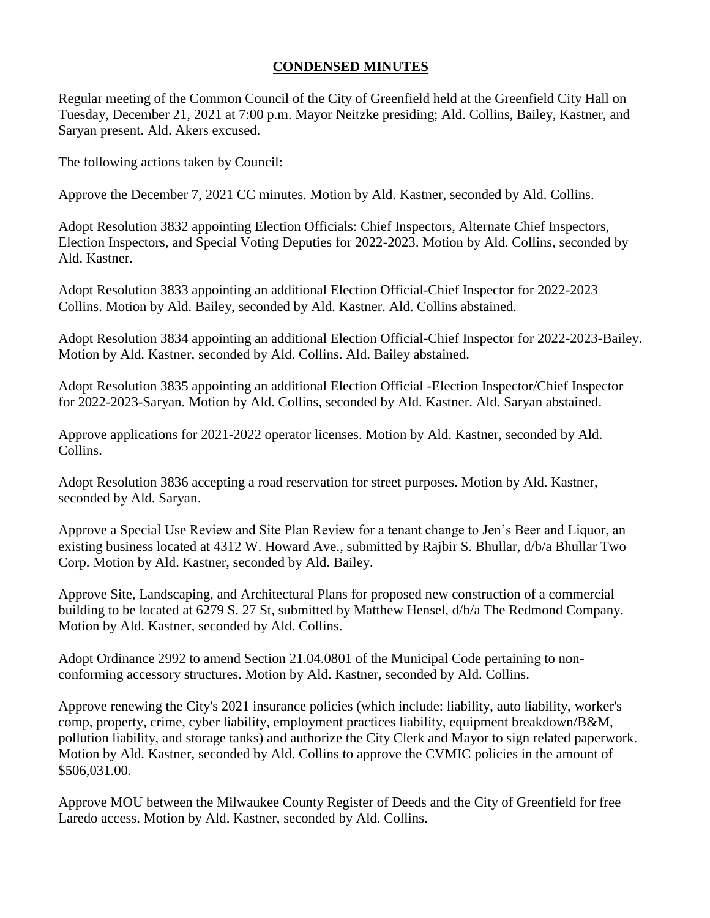## **CONDENSED MINUTES**

Regular meeting of the Common Council of the City of Greenfield held at the Greenfield City Hall on Tuesday, December 21, 2021 at 7:00 p.m. Mayor Neitzke presiding; Ald. Collins, Bailey, Kastner, and Saryan present. Ald. Akers excused.

The following actions taken by Council:

Approve the December 7, 2021 CC minutes. Motion by Ald. Kastner, seconded by Ald. Collins.

Adopt Resolution 3832 appointing Election Officials: Chief Inspectors, Alternate Chief Inspectors, Election Inspectors, and Special Voting Deputies for 2022-2023. Motion by Ald. Collins, seconded by Ald. Kastner.

Adopt Resolution 3833 appointing an additional Election Official-Chief Inspector for 2022-2023 – Collins. Motion by Ald. Bailey, seconded by Ald. Kastner. Ald. Collins abstained.

Adopt Resolution 3834 appointing an additional Election Official-Chief Inspector for 2022-2023-Bailey. Motion by Ald. Kastner, seconded by Ald. Collins. Ald. Bailey abstained.

Adopt Resolution 3835 appointing an additional Election Official -Election Inspector/Chief Inspector for 2022-2023-Saryan. Motion by Ald. Collins, seconded by Ald. Kastner. Ald. Saryan abstained.

Approve applications for 2021-2022 operator licenses. Motion by Ald. Kastner, seconded by Ald. Collins.

Adopt Resolution 3836 accepting a road reservation for street purposes. Motion by Ald. Kastner, seconded by Ald. Saryan.

Approve a Special Use Review and Site Plan Review for a tenant change to Jen's Beer and Liquor, an existing business located at 4312 W. Howard Ave., submitted by Rajbir S. Bhullar, d/b/a Bhullar Two Corp. Motion by Ald. Kastner, seconded by Ald. Bailey.

Approve Site, Landscaping, and Architectural Plans for proposed new construction of a commercial building to be located at 6279 S. 27 St, submitted by Matthew Hensel, d/b/a The Redmond Company. Motion by Ald. Kastner, seconded by Ald. Collins.

Adopt Ordinance 2992 to amend Section 21.04.0801 of the Municipal Code pertaining to nonconforming accessory structures. Motion by Ald. Kastner, seconded by Ald. Collins.

Approve renewing the City's 2021 insurance policies (which include: liability, auto liability, worker's comp, property, crime, cyber liability, employment practices liability, equipment breakdown/B&M, pollution liability, and storage tanks) and authorize the City Clerk and Mayor to sign related paperwork. Motion by Ald. Kastner, seconded by Ald. Collins to approve the CVMIC policies in the amount of \$506,031.00.

Approve MOU between the Milwaukee County Register of Deeds and the City of Greenfield for free Laredo access. Motion by Ald. Kastner, seconded by Ald. Collins.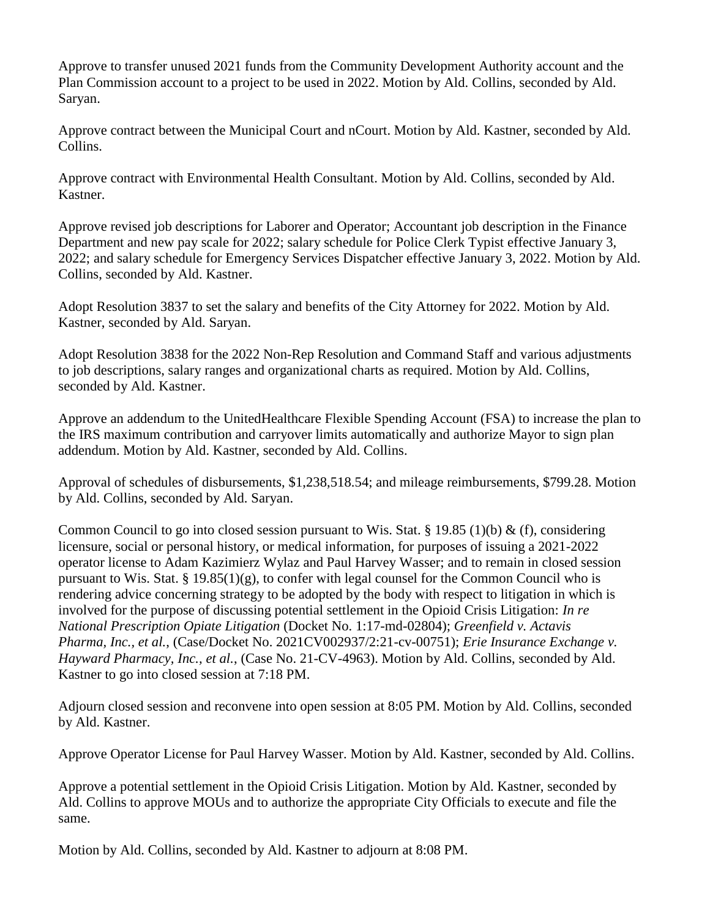Approve to transfer unused 2021 funds from the Community Development Authority account and the Plan Commission account to a project to be used in 2022. Motion by Ald. Collins, seconded by Ald. Saryan.

Approve contract between the Municipal Court and nCourt. Motion by Ald. Kastner, seconded by Ald. Collins.

Approve contract with Environmental Health Consultant. Motion by Ald. Collins, seconded by Ald. Kastner.

Approve revised job descriptions for Laborer and Operator; Accountant job description in the Finance Department and new pay scale for 2022; salary schedule for Police Clerk Typist effective January 3, 2022; and salary schedule for Emergency Services Dispatcher effective January 3, 2022. Motion by Ald. Collins, seconded by Ald. Kastner.

Adopt Resolution 3837 to set the salary and benefits of the City Attorney for 2022. Motion by Ald. Kastner, seconded by Ald. Saryan.

Adopt Resolution 3838 for the 2022 Non-Rep Resolution and Command Staff and various adjustments to job descriptions, salary ranges and organizational charts as required. Motion by Ald. Collins, seconded by Ald. Kastner.

Approve an addendum to the UnitedHealthcare Flexible Spending Account (FSA) to increase the plan to the IRS maximum contribution and carryover limits automatically and authorize Mayor to sign plan addendum. Motion by Ald. Kastner, seconded by Ald. Collins.

Approval of schedules of disbursements, \$1,238,518.54; and mileage reimbursements, \$799.28. Motion by Ald. Collins, seconded by Ald. Saryan.

Common Council to go into closed session pursuant to Wis. Stat. § 19.85 (1)(b) & (f), considering licensure, social or personal history, or medical information, for purposes of issuing a 2021-2022 operator license to Adam Kazimierz Wylaz and Paul Harvey Wasser; and to remain in closed session pursuant to Wis. Stat. § 19.85(1)(g), to confer with legal counsel for the Common Council who is rendering advice concerning strategy to be adopted by the body with respect to litigation in which is involved for the purpose of discussing potential settlement in the Opioid Crisis Litigation: *In re National Prescription Opiate Litigation* (Docket No. 1:17-md-02804); *Greenfield v. Actavis Pharma, Inc., et al.*, (Case/Docket No. 2021CV002937/2:21-cv-00751); *Erie Insurance Exchange v. Hayward Pharmacy, Inc., et al.*, (Case No. 21-CV-4963). Motion by Ald. Collins, seconded by Ald. Kastner to go into closed session at 7:18 PM.

Adjourn closed session and reconvene into open session at 8:05 PM. Motion by Ald. Collins, seconded by Ald. Kastner.

Approve Operator License for Paul Harvey Wasser. Motion by Ald. Kastner, seconded by Ald. Collins.

Approve a potential settlement in the Opioid Crisis Litigation. Motion by Ald. Kastner, seconded by Ald. Collins to approve MOUs and to authorize the appropriate City Officials to execute and file the same.

Motion by Ald. Collins, seconded by Ald. Kastner to adjourn at 8:08 PM.